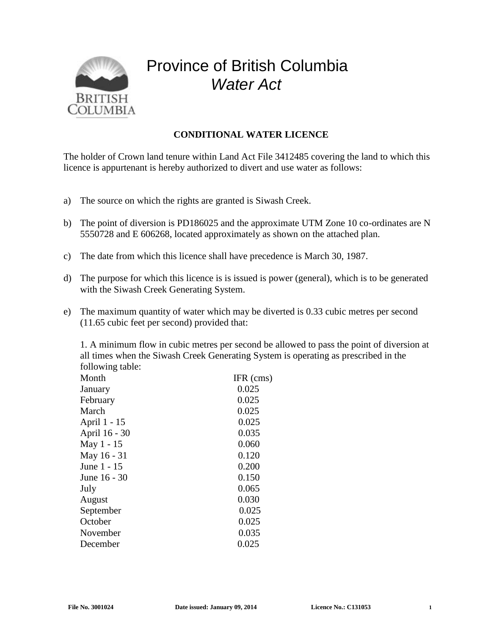

## Province of British Columbia *Water Act*

## **CONDITIONAL WATER LICENCE**

The holder of Crown land tenure within Land Act File 3412485 covering the land to which this licence is appurtenant is hereby authorized to divert and use water as follows:

- a) The source on which the rights are granted is Siwash Creek.
- b) The point of diversion is PD186025 and the approximate UTM Zone 10 co-ordinates are N 5550728 and E 606268, located approximately as shown on the attached plan.
- c) The date from which this licence shall have precedence is March 30, 1987.
- d) The purpose for which this licence is is issued is power (general), which is to be generated with the Siwash Creek Generating System.
- e) The maximum quantity of water which may be diverted is 0.33 cubic metres per second (11.65 cubic feet per second) provided that:

1. A minimum flow in cubic metres per second be allowed to pass the point of diversion at all times when the Siwash Creek Generating System is operating as prescribed in the following table:

| Month         | $IFR$ (cms) |
|---------------|-------------|
| January       | 0.025       |
| February      | 0.025       |
| March         | 0.025       |
| April 1 - 15  | 0.025       |
| April 16 - 30 | 0.035       |
| May 1 - 15    | 0.060       |
| May 16 - 31   | 0.120       |
| June 1 - 15   | 0.200       |
| June 16 - 30  | 0.150       |
| July          | 0.065       |
| August        | 0.030       |
| September     | 0.025       |
| October       | 0.025       |
| November      | 0.035       |
| December      | 0.025       |
|               |             |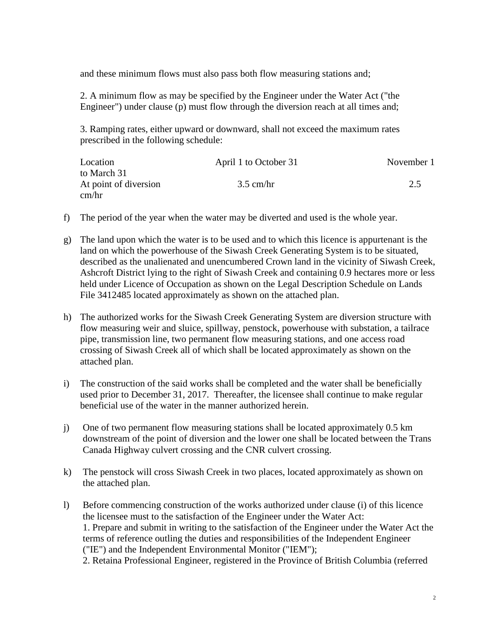and these minimum flows must also pass both flow measuring stations and;

2. A minimum flow as may be specified by the Engineer under the Water Act ("the Engineer") under clause (p) must flow through the diversion reach at all times and;

3. Ramping rates, either upward or downward, shall not exceed the maximum rates prescribed in the following schedule:

| Location              | April 1 to October 31 | November 1 |
|-----------------------|-----------------------|------------|
| to March 31           |                       |            |
| At point of diversion | $3.5$ cm/hr           | 2.5        |
| cm/hr                 |                       |            |

- f) The period of the year when the water may be diverted and used is the whole year.
- g) The land upon which the water is to be used and to which this licence is appurtenant is the land on which the powerhouse of the Siwash Creek Generating System is to be situated, described as the unalienated and unencumbered Crown land in the vicinity of Siwash Creek, Ashcroft District lying to the right of Siwash Creek and containing 0.9 hectares more or less held under Licence of Occupation as shown on the Legal Description Schedule on Lands File 3412485 located approximately as shown on the attached plan.
- h) The authorized works for the Siwash Creek Generating System are diversion structure with flow measuring weir and sluice, spillway, penstock, powerhouse with substation, a tailrace pipe, transmission line, two permanent flow measuring stations, and one access road crossing of Siwash Creek all of which shall be located approximately as shown on the attached plan.
- i) The construction of the said works shall be completed and the water shall be beneficially used prior to December 31, 2017. Thereafter, the licensee shall continue to make regular beneficial use of the water in the manner authorized herein.
- j) One of two permanent flow measuring stations shall be located approximately 0.5 km downstream of the point of diversion and the lower one shall be located between the Trans Canada Highway culvert crossing and the CNR culvert crossing.
- k) The penstock will cross Siwash Creek in two places, located approximately as shown on the attached plan.
- l) Before commencing construction of the works authorized under clause (i) of this licence the licensee must to the satisfaction of the Engineer under the Water Act: 1. Prepare and submit in writing to the satisfaction of the Engineer under the Water Act the terms of reference outling the duties and responsibilities of the Independent Engineer ("IE") and the Independent Environmental Monitor ("IEM");

2. Retaina Professional Engineer, registered in the Province of British Columbia (referred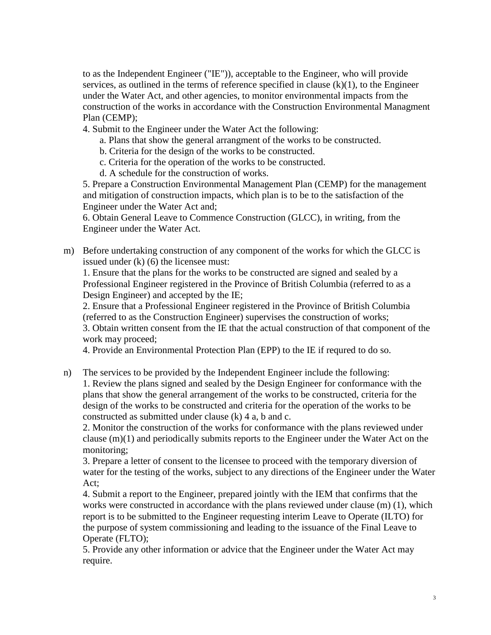to as the Independent Engineer ("IE")), acceptable to the Engineer, who will provide services, as outlined in the terms of reference specified in clause  $(k)(1)$ , to the Engineer under the Water Act, and other agencies, to monitor environmental impacts from the construction of the works in accordance with the Construction Environmental Managment Plan (CEMP);

4. Submit to the Engineer under the Water Act the following:

a. Plans that show the general arrangment of the works to be constructed.

b. Criteria for the design of the works to be constructed.

c. Criteria for the operation of the works to be constructed.

d. A schedule for the construction of works.

5. Prepare a Construction Environmental Management Plan (CEMP) for the management and mitigation of construction impacts, which plan is to be to the satisfaction of the Engineer under the Water Act and;

6. Obtain General Leave to Commence Construction (GLCC), in writing, from the Engineer under the Water Act.

m) Before undertaking construction of any component of the works for which the GLCC is issued under (k) (6) the licensee must:

1. Ensure that the plans for the works to be constructed are signed and sealed by a Professional Engineer registered in the Province of British Columbia (referred to as a Design Engineer) and accepted by the IE;

2. Ensure that a Professional Engineer registered in the Province of British Columbia (referred to as the Construction Engineer) supervises the construction of works; 3. Obtain written consent from the IE that the actual construction of that component of the work may proceed;

4. Provide an Environmental Protection Plan (EPP) to the IE if requred to do so.

n) The services to be provided by the Independent Engineer include the following: 1. Review the plans signed and sealed by the Design Engineer for conformance with the plans that show the general arrangement of the works to be constructed, criteria for the design of the works to be constructed and criteria for the operation of the works to be constructed as submitted under clause (k) 4 a, b and c.

2. Monitor the construction of the works for conformance with the plans reviewed under clause (m)(1) and periodically submits reports to the Engineer under the Water Act on the monitoring;

3. Prepare a letter of consent to the licensee to proceed with the temporary diversion of water for the testing of the works, subject to any directions of the Engineer under the Water Act;

4. Submit a report to the Engineer, prepared jointly with the IEM that confirms that the works were constructed in accordance with the plans reviewed under clause (m) (1), which report is to be submitted to the Engineer requesting interim Leave to Operate (ILTO) for the purpose of system commissioning and leading to the issuance of the Final Leave to Operate (FLTO);

5. Provide any other information or advice that the Engineer under the Water Act may require.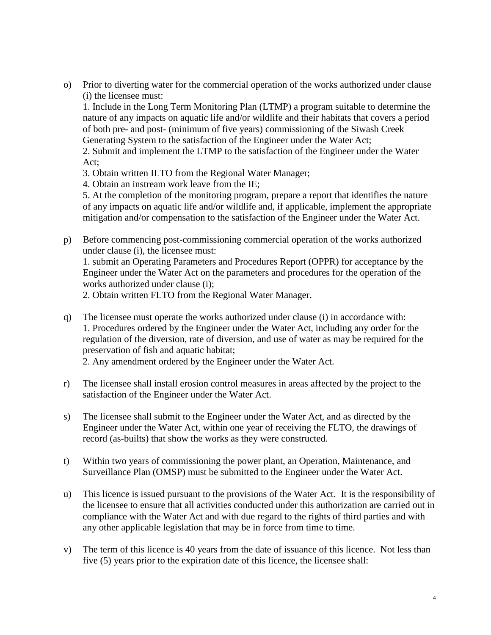o) Prior to diverting water for the commercial operation of the works authorized under clause (i) the licensee must:

1. Include in the Long Term Monitoring Plan (LTMP) a program suitable to determine the nature of any impacts on aquatic life and/or wildlife and their habitats that covers a period of both pre- and post- (minimum of five years) commissioning of the Siwash Creek Generating System to the satisfaction of the Engineer under the Water Act;

2. Submit and implement the LTMP to the satisfaction of the Engineer under the Water Act;

- 3. Obtain written ILTO from the Regional Water Manager;
- 4. Obtain an instream work leave from the IE;

5. At the completion of the monitoring program, prepare a report that identifies the nature of any impacts on aquatic life and/or wildlife and, if applicable, implement the appropriate mitigation and/or compensation to the satisfaction of the Engineer under the Water Act.

p) Before commencing post-commissioning commercial operation of the works authorized under clause (i), the licensee must:

1. submit an Operating Parameters and Procedures Report (OPPR) for acceptance by the Engineer under the Water Act on the parameters and procedures for the operation of the works authorized under clause (i);

2. Obtain written FLTO from the Regional Water Manager.

q) The licensee must operate the works authorized under clause (i) in accordance with: 1. Procedures ordered by the Engineer under the Water Act, including any order for the regulation of the diversion, rate of diversion, and use of water as may be required for the preservation of fish and aquatic habitat;

2. Any amendment ordered by the Engineer under the Water Act.

- r) The licensee shall install erosion control measures in areas affected by the project to the satisfaction of the Engineer under the Water Act.
- s) The licensee shall submit to the Engineer under the Water Act, and as directed by the Engineer under the Water Act, within one year of receiving the FLTO, the drawings of record (as-builts) that show the works as they were constructed.
- t) Within two years of commissioning the power plant, an Operation, Maintenance, and Surveillance Plan (OMSP) must be submitted to the Engineer under the Water Act.
- u) This licence is issued pursuant to the provisions of the Water Act. It is the responsibility of the licensee to ensure that all activities conducted under this authorization are carried out in compliance with the Water Act and with due regard to the rights of third parties and with any other applicable legislation that may be in force from time to time.
- v) The term of this licence is 40 years from the date of issuance of this licence. Not less than five (5) years prior to the expiration date of this licence, the licensee shall: